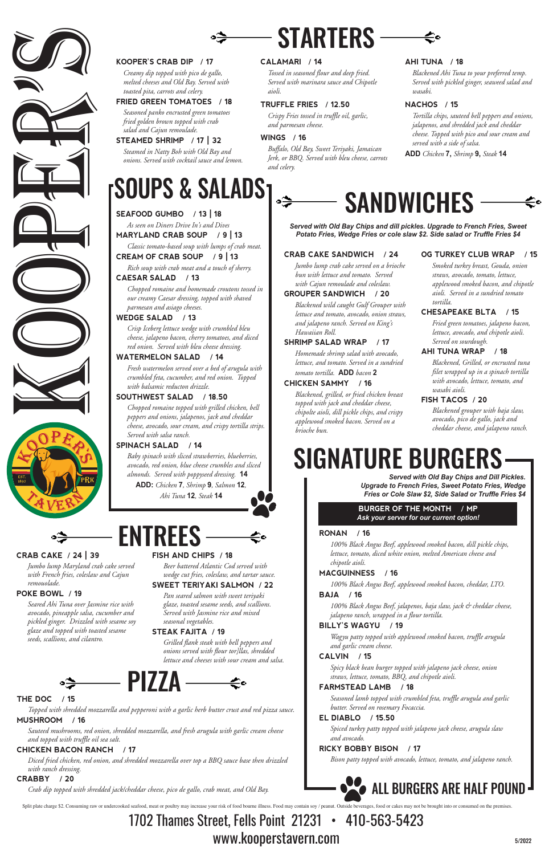

1702 Thames Street, Fells Point 21231 • 410-563-5423 www.kooperstavern.com



## sandwiches



*Served with Old Bay Chips and dill pickles. Upgrade to French Fries, Sweet Potato Fries, Wedge Fries or cole slaw \$2. Side salad or Truffle Fries \$4*



Split plate charge \$2. Consuming raw or undercooked seafood, meat or poultry may increase your risk of food bourne illness. Food may contain soy / peanut. Outside beverages, food or cakes may not be brought into or consume

#### **kooPer'S CraB diP / 17**

*Creamy dip topped with pico de gallo, melted cheeses and Old Bay. Served with toasted pita, carrots and celery.*

#### **fried green tomatoeS / 18**

*Seasoned panko encrusted green tomatoes fried golden brown topped with crab salad and Cajun remoulade.*

#### **Steamed ShrimP / 17 | 32**

*Steamed in Natty Boh with Old Bay and onions. Served with cocktail sauce and lemon.*

### **Calamari / 14**

*Tossed in seasoned flour and deep fried. Served with marinara sauce and Chipotle aioli.*

#### **truffle frieS / 12.50**

*Crispy Fries tossed in truffle oil, garlic, and parmesan cheese.*

#### **WingS / 16**

*Buffalo, Old Bay, Sweet Teriyaki, Jamaican Jerk, or BBQ. Served with bleu cheese, carrots and celery.*

#### **ahi tuna / 18**

*Blackened Ahi Tuna to your preferred temp. Served with pickled ginger, seaweed salad and wasabi.*

#### **naChoS / 15**

*Tortilla chips, sauteed bell peppers and onions, jalapenos, and shredded jack and cheddar cheese. Topped with pico and sour cream and served with a side of salsa.*

**Add** *Chicken* **7,** *Shrimp* **9,** *Steak* **14**

#### **CraB Cake SandWiCh / 24**

*Jumbo lump crab cake served on a brioche bun with lettuce and tomato. Served with Cajun remoulade and coleslaw.*

#### **grouPer SandWiCh / 20**

*Blackened wild caught Gulf Grouper with lettuce and tomato, avocado, onion straws, and jalapeno ranch. Served on King's Hawaiian Roll.*

#### **ShrimP Salad WraP / 17**

*Homemade shrimp salad with avocado, lettuce, and tomato. Served in a sundried tomato tortilla.* **Add** *bacon* **2**

#### **ChiCken Sammy / 16**

*Blackened, grilled, or fried chicken breast topped with jack and cheddar cheese, chipolte aioli, dill pickle chips, and crispy applewood smoked bacon. Served on a brioche bun.*

#### **og turkey CluB WraP / 15**

*Smoked turkey breast, Gouda, onion straws, avocado, tomato, lettuce, applewood smoked bacon, and chipotle aioli. Served in a sundried tomato tortilla.*

#### **CheSaPeake Blta / 15**

*Fried green tomatoes, jalapeno bacon, lettuce, avocado, and chipotle aioli. Served on sourdough.*

#### **ahi tuna WraP / 18**

*Blackened, Grilled, or encrusted tuna filet wrapped up in a spinach tortilla with avocado, lettuce, tomato, and wasabi aioli.*

#### **fiSh taCoS / 20**

*Blackened grouper with baja slaw, avocado, pico de gallo, jack and cheddar cheese, and jalapeno ranch.*

## **SIGNATURE BURGER**

#### **ronan / 16**

*100% Black Angus Beef, applewood smoked bacon, dill pickle chips, lettuce, tomato, diced white onion, melted American cheese and chipotle aioli.*

#### **maCguinneSS / 16**

*100% Black Angus Beef, applewood smoked bacon, cheddar, LTO.*

#### **Baja / 16**

*100% Black Angus Beef, jalapenos, baja slaw, jack & cheddar cheese, jalapeno ranch, wrapped in a flour tortilla.*

#### **Billy'S Wagyu / 19**

*Wagyu patty topped with applewood smoked bacon, truffle arugula and garlic cream cheese.*

#### **Calvin / 15**

*Spicy black bean burger topped with jalapeno jack cheese, onion straws, lettuce, tomato, BBQ, and chipotle aioli.*

#### **farmStead lamB / 18**

*Seasoned lamb topped with crumbled feta, truffle arugula and garlic butter. Served on rosemary Focaccia.*

#### **el diaBlo / 15.50**

*Spiced turkey patty topped with jalapeno jack cheese, arugula slaw and avocado.*

#### **riCky BoBBy BiSon / 17**

*Bison patty topped with avocado, lettuce, tomato, and jalapeno ranch.*

#### **CraB Cake / 24 | 39**

*Jumbo lump Maryland crab cake served with French fries, coleslaw and Cajun remouolade.*

#### **Poke BoWl / 19**

*Seared Ahi Tuna over Jasmine rice with avocado, pineapple salsa, cucumber and pickled ginger. Drizzled with sesame soy glaze and topped with toasted sesame seeds, scallions, and cilantro.*

#### **fiSh and ChiPS / 18**

lees

*Beer battered Atlantic Cod served with wedge cut fries, coleslaw, and tartar sauce.*

#### **SWeet teriyaki Salmon / 22**

*Pan seared salmon with sweet teriyaki glaze, toasted sesame seeds, and scallions. Served with Jasmine rice and mixed seasonal vegetables.*

#### **Steak fajita / 19**

*Grilled flank steak with bell peppers and onions served with flour tor]llas, shredded lettuce and cheeses with sour cream and salsa.*

#### **the doC / 15**

*Topped with shredded mozzarella and pepperoni with a garlic herb butter crust and red pizza sauce.* **muShroom / 16**

*Sauteed mushrooms, red onion, shredded mozzarella, and fresh arugula with garlic cream cheese and topped with truffle oil sea salt.*

#### **ChiCken BaCon ranCh / 17**

*Diced fried chicken, red onion, and shredded mozzarella over top a BBQ sauce base then drizzled with ranch dressing.*

#### **CraBBy / 20**

*Crab dip topped with shredded jack/cheddar cheese, pico de gallo, crab meat, and Old Bay.*

*Served with Old Bay Chips and Dill Pickles. Upgrade to French Fries, Sweet Potato Fries, Wedge Fries or Cole Slaw \$2, Side Salad or Truffle Fries \$4*

# soups & salads

#### **Seafood gumBo / 13 | 18**

*As seen on Diners Drive In's and Dives*

**maryland CraB SouP / 9 | 13** *Classic tomato-based soup with lumps of crab meat.* **Cream of CraB SouP / 9 | 13**

*Rich soup with crab meat and a touch of sherry.*

#### **CaeSar Salad / 13**

*Chopped romaine and homemade croutons tossed in our creamy Caesar dressing, topped with shaved parmesan and asiago cheeses.*

#### **Wedge Salad / 13**

*Crisp Iceberg lettuce wedge with crumbled bleu cheese, jalapeno bacon, cherry tomatoes, and diced red onion. Served with bleu cheese dressing.*

#### **Watermelon Salad / 14**

*Fresh watermelon served over a bed of arugula with crumbled feta, cucumber, and red onion. Topped with balsamic reducton drizzle.*

#### **SouthWeSt Salad / 18.50**

*Chopped romaine topped with grilled chicken, bell peppers and onions, jalapenos, jack and cheddar cheese, avocado, sour cream, and crispy tortilla strips. Served with salsa ranch.*

#### **SPinaCh Salad / 14**

*Baby spinach with sliced strawberries, blueberries, avocado, red onion, blue cheese crumbles and sliced almonds. Served with poppyseed dressing.* **14 Add:** *Chicken* **7***, Shrimp* **9***, Salmon* **12***,*

*Ahi Tuna* **12***, Steak* **14**

#### **Burger of the month / mP** *Ask your server for our current option!*